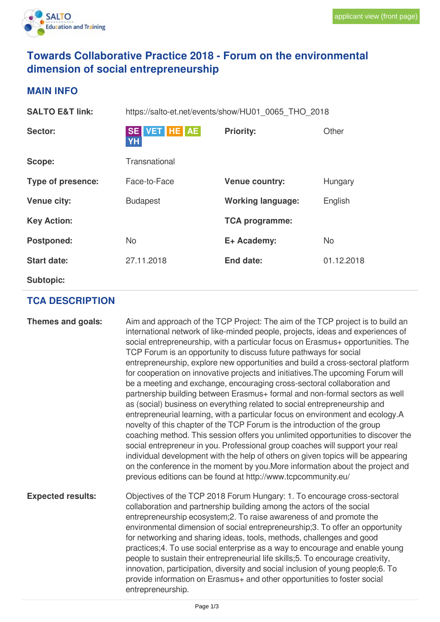

## **Towards Collaborative Practice 2018 - Forum on the environmental dimension of social entrepreneurship**

## **MAIN INFO**

| <b>SALTO E&amp;T link:</b> | https://salto-et.net/events/show/HU01_0065 THO 2018 |                          |            |
|----------------------------|-----------------------------------------------------|--------------------------|------------|
| Sector:                    | SE VET HE AE<br><b>YH</b>                           | <b>Priority:</b>         | Other      |
| Scope:                     | Transnational                                       |                          |            |
| Type of presence:          | Face-to-Face                                        | <b>Venue country:</b>    | Hungary    |
| <b>Venue city:</b>         | <b>Budapest</b>                                     | <b>Working language:</b> | English    |
| <b>Key Action:</b>         |                                                     | <b>TCA programme:</b>    |            |
| Postponed:                 | <b>No</b>                                           | E+ Academy:              | No         |
| <b>Start date:</b>         | 27.11.2018                                          | End date:                | 01.12.2018 |
| <b>Subtopic:</b>           |                                                     |                          |            |

## **TCA DESCRIPTION**

| Themes and goals:        | Aim and approach of the TCP Project: The aim of the TCP project is to build an<br>international network of like-minded people, projects, ideas and experiences of<br>social entrepreneurship, with a particular focus on Erasmus+ opportunities. The<br>TCP Forum is an opportunity to discuss future pathways for social<br>entrepreneurship, explore new opportunities and build a cross-sectoral platform<br>for cooperation on innovative projects and initiatives. The upcoming Forum will<br>be a meeting and exchange, encouraging cross-sectoral collaboration and<br>partnership building between Erasmus+ formal and non-formal sectors as well<br>as (social) business on everything related to social entrepreneurship and<br>entrepreneurial learning, with a particular focus on environment and ecology.A<br>novelty of this chapter of the TCP Forum is the introduction of the group<br>coaching method. This session offers you unlimited opportunities to discover the<br>social entrepreneur in you. Professional group coaches will support your real<br>individual development with the help of others on given topics will be appearing<br>on the conference in the moment by you. More information about the project and<br>previous editions can be found at http://www.tcpcommunity.eu/ |
|--------------------------|-------------------------------------------------------------------------------------------------------------------------------------------------------------------------------------------------------------------------------------------------------------------------------------------------------------------------------------------------------------------------------------------------------------------------------------------------------------------------------------------------------------------------------------------------------------------------------------------------------------------------------------------------------------------------------------------------------------------------------------------------------------------------------------------------------------------------------------------------------------------------------------------------------------------------------------------------------------------------------------------------------------------------------------------------------------------------------------------------------------------------------------------------------------------------------------------------------------------------------------------------------------------------------------------------------------------|
| <b>Expected results:</b> | Objectives of the TCP 2018 Forum Hungary: 1. To encourage cross-sectoral<br>collaboration and partnership building among the actors of the social<br>entrepreneurship ecosystem; 2. To raise awareness of and promote the<br>environmental dimension of social entrepreneurship; 3. To offer an opportunity<br>for networking and sharing ideas, tools, methods, challenges and good<br>practices;4. To use social enterprise as a way to encourage and enable young<br>people to sustain their entrepreneurial life skills;5. To encourage creativity,<br>innovation, participation, diversity and social inclusion of young people;6. To<br>provide information on Erasmus + and other opportunities to foster social<br>entrepreneurship.                                                                                                                                                                                                                                                                                                                                                                                                                                                                                                                                                                      |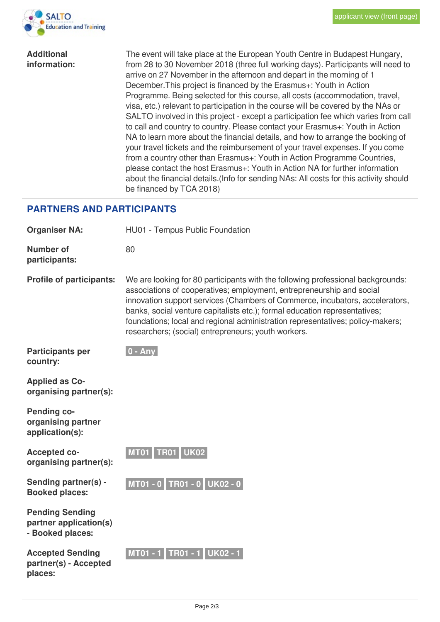

| <b>Additional</b> |  |
|-------------------|--|
| information:      |  |

The event will take place at the European Youth Centre in Budapest Hungary, from 28 to 30 November 2018 (three full working days). Participants will need to arrive on 27 November in the afternoon and depart in the morning of 1 December.This project is financed by the Erasmus+: Youth in Action Programme. Being selected for this course, all costs (accommodation, travel, visa, etc.) relevant to participation in the course will be covered by the NAs or SALTO involved in this project - except a participation fee which varies from call to call and country to country. Please contact your Erasmus+: Youth in Action NA to learn more about the financial details, and how to arrange the booking of your travel tickets and the reimbursement of your travel expenses. If you come from a country other than Erasmus+: Youth in Action Programme Countries, please contact the host Erasmus+: Youth in Action NA for further information about the financial details.(Info for sending NAs: All costs for this activity should be financed by TCA 2018)

## **PARTNERS AND PARTICIPANTS**

| <b>Organiser NA:</b>                                                 | HU01 - Tempus Public Foundation                                                                                                                                                                                                                                                                                                                                                                                                                                 |  |  |
|----------------------------------------------------------------------|-----------------------------------------------------------------------------------------------------------------------------------------------------------------------------------------------------------------------------------------------------------------------------------------------------------------------------------------------------------------------------------------------------------------------------------------------------------------|--|--|
| <b>Number of</b><br>participants:                                    | 80                                                                                                                                                                                                                                                                                                                                                                                                                                                              |  |  |
| <b>Profile of participants:</b>                                      | We are looking for 80 participants with the following professional backgrounds:<br>associations of cooperatives; employment, entrepreneurship and social<br>innovation support services (Chambers of Commerce, incubators, accelerators,<br>banks, social venture capitalists etc.); formal education representatives;<br>foundations; local and regional administration representatives; policy-makers;<br>researchers; (social) entrepreneurs; youth workers. |  |  |
| <b>Participants per</b><br>country:                                  | $0 - Any$                                                                                                                                                                                                                                                                                                                                                                                                                                                       |  |  |
| <b>Applied as Co-</b><br>organising partner(s):                      |                                                                                                                                                                                                                                                                                                                                                                                                                                                                 |  |  |
| <b>Pending co-</b><br>organising partner<br>application(s):          |                                                                                                                                                                                                                                                                                                                                                                                                                                                                 |  |  |
| <b>Accepted co-</b><br>organising partner(s):                        | MT01 TR01 UK02                                                                                                                                                                                                                                                                                                                                                                                                                                                  |  |  |
| Sending partner(s) -<br><b>Booked places:</b>                        | MT01 - 0 TR01 - 0 UK02 - 0                                                                                                                                                                                                                                                                                                                                                                                                                                      |  |  |
| <b>Pending Sending</b><br>partner application(s)<br>- Booked places: |                                                                                                                                                                                                                                                                                                                                                                                                                                                                 |  |  |
| <b>Accepted Sending</b><br>partner(s) - Accepted<br>places:          | MT01 - 1 TR01 - 1 UK02 - 1                                                                                                                                                                                                                                                                                                                                                                                                                                      |  |  |